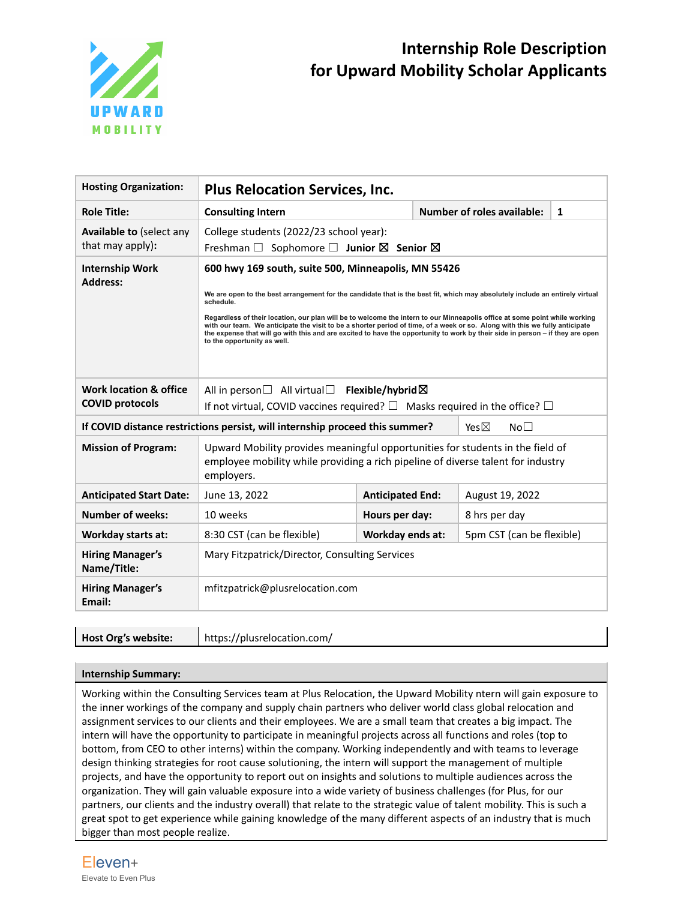

# **Internship Role Description for Upward Mobility Scholar Applicants**

| <b>Hosting Organization:</b>                        | <b>Plus Relocation Services, Inc.</b>                                                                                                                                                                                                                                                                                                                                                                                                                                                                                                                                                                                         |                         |                                   |              |  |
|-----------------------------------------------------|-------------------------------------------------------------------------------------------------------------------------------------------------------------------------------------------------------------------------------------------------------------------------------------------------------------------------------------------------------------------------------------------------------------------------------------------------------------------------------------------------------------------------------------------------------------------------------------------------------------------------------|-------------------------|-----------------------------------|--------------|--|
| <b>Role Title:</b>                                  | <b>Consulting Intern</b>                                                                                                                                                                                                                                                                                                                                                                                                                                                                                                                                                                                                      |                         | <b>Number of roles available:</b> | $\mathbf{1}$ |  |
| <b>Available to (select any</b><br>that may apply): | College students (2022/23 school year):<br>Freshman $\Box$ Sophomore $\Box$ Junior $\boxtimes$ Senior $\boxtimes$                                                                                                                                                                                                                                                                                                                                                                                                                                                                                                             |                         |                                   |              |  |
| <b>Internship Work</b><br><b>Address:</b>           | 600 hwy 169 south, suite 500, Minneapolis, MN 55426<br>We are open to the best arrangement for the candidate that is the best fit, which may absolutely include an entirely virtual<br>schedule.<br>Regardless of their location, our plan will be to welcome the intern to our Minneapolis office at some point while working<br>with our team. We anticipate the visit to be a shorter period of time, of a week or so. Along with this we fully anticipate<br>the expense that will go with this and are excited to have the opportunity to work by their side in person - if they are open<br>to the opportunity as well. |                         |                                   |              |  |
| Work location & office<br><b>COVID protocols</b>    | All in person $\Box$ All virtual $\Box$ Flexible/hybrid $\boxtimes$<br>If not virtual, COVID vaccines required? $\square$ Masks required in the office? $\square$                                                                                                                                                                                                                                                                                                                                                                                                                                                             |                         |                                   |              |  |
|                                                     | If COVID distance restrictions persist, will internship proceed this summer?<br>Yes $\boxtimes$<br>No <sub>1</sub>                                                                                                                                                                                                                                                                                                                                                                                                                                                                                                            |                         |                                   |              |  |
| <b>Mission of Program:</b>                          | Upward Mobility provides meaningful opportunities for students in the field of<br>employee mobility while providing a rich pipeline of diverse talent for industry<br>employers.                                                                                                                                                                                                                                                                                                                                                                                                                                              |                         |                                   |              |  |
| <b>Anticipated Start Date:</b>                      | June 13, 2022                                                                                                                                                                                                                                                                                                                                                                                                                                                                                                                                                                                                                 | <b>Anticipated End:</b> | August 19, 2022                   |              |  |
| <b>Number of weeks:</b>                             | 10 weeks                                                                                                                                                                                                                                                                                                                                                                                                                                                                                                                                                                                                                      | Hours per day:          | 8 hrs per day                     |              |  |
| Workday starts at:                                  | 8:30 CST (can be flexible)                                                                                                                                                                                                                                                                                                                                                                                                                                                                                                                                                                                                    | Workday ends at:        | 5pm CST (can be flexible)         |              |  |
| <b>Hiring Manager's</b><br>Name/Title:              | Mary Fitzpatrick/Director, Consulting Services                                                                                                                                                                                                                                                                                                                                                                                                                                                                                                                                                                                |                         |                                   |              |  |
| <b>Hiring Manager's</b><br>Email:                   | mfitzpatrick@plusrelocation.com                                                                                                                                                                                                                                                                                                                                                                                                                                                                                                                                                                                               |                         |                                   |              |  |
|                                                     |                                                                                                                                                                                                                                                                                                                                                                                                                                                                                                                                                                                                                               |                         |                                   |              |  |

**Host Org's website:** https://plusrelocation.com/

### **Internship Summary:**

Working within the Consulting Services team at Plus Relocation, the Upward Mobility ntern will gain exposure to the inner workings of the company and supply chain partners who deliver world class global relocation and assignment services to our clients and their employees. We are a small team that creates a big impact. The intern will have the opportunity to participate in meaningful projects across all functions and roles (top to bottom, from CEO to other interns) within the company. Working independently and with teams to leverage design thinking strategies for root cause solutioning, the intern will support the management of multiple projects, and have the opportunity to report out on insights and solutions to multiple audiences across the organization. They will gain valuable exposure into a wide variety of business challenges (for Plus, for our partners, our clients and the industry overall) that relate to the strategic value of talent mobility. This is such a great spot to get experience while gaining knowledge of the many different aspects of an industry that is much bigger than most people realize.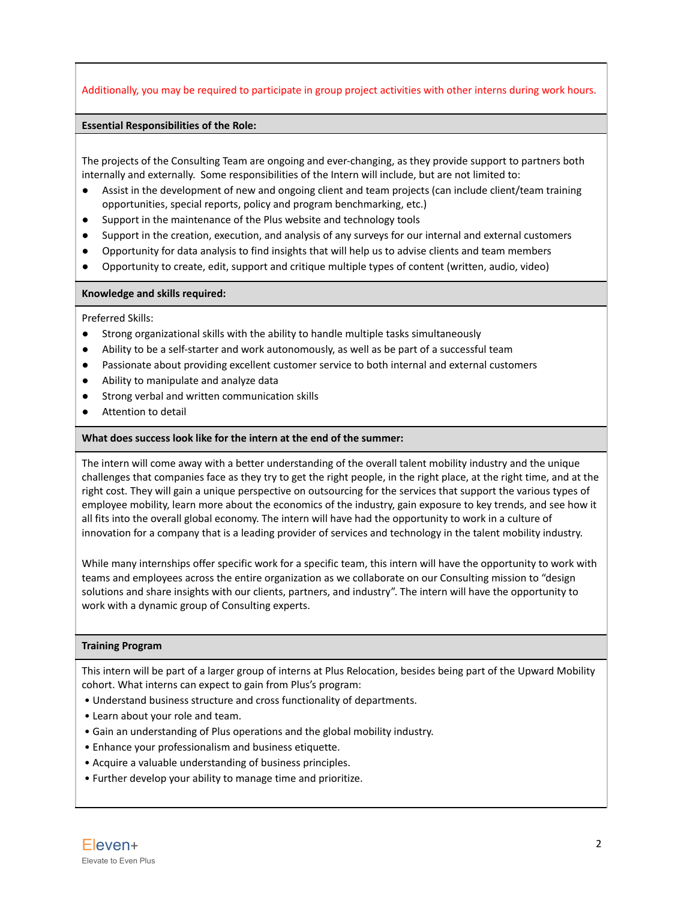## Additionally, you may be required to participate in group project activities with other interns during work hours.

#### **Essential Responsibilities of the Role:**

The projects of the Consulting Team are ongoing and ever-changing, as they provide support to partners both internally and externally. Some responsibilities of the Intern will include, but are not limited to:

- Assist in the development of new and ongoing client and team projects (can include client/team training opportunities, special reports, policy and program benchmarking, etc.)
- Support in the maintenance of the Plus website and technology tools
- Support in the creation, execution, and analysis of any surveys for our internal and external customers
- Opportunity for data analysis to find insights that will help us to advise clients and team members
- Opportunity to create, edit, support and critique multiple types of content (written, audio, video)

#### **Knowledge and skills required:**

#### Preferred Skills:

- Strong organizational skills with the ability to handle multiple tasks simultaneously
- Ability to be a self-starter and work autonomously, as well as be part of a successful team
- Passionate about providing excellent customer service to both internal and external customers
- Ability to manipulate and analyze data
- Strong verbal and written communication skills
- Attention to detail

#### **What does success look like for the intern at the end of the summer:**

The intern will come away with a better understanding of the overall talent mobility industry and the unique challenges that companies face as they try to get the right people, in the right place, at the right time, and at the right cost. They will gain a unique perspective on outsourcing for the services that support the various types of employee mobility, learn more about the economics of the industry, gain exposure to key trends, and see how it all fits into the overall global economy. The intern will have had the opportunity to work in a culture of innovation for a company that is a leading provider of services and technology in the talent mobility industry.

While many internships offer specific work for a specific team, this intern will have the opportunity to work with teams and employees across the entire organization as we collaborate on our Consulting mission to "design solutions and share insights with our clients, partners, and industry". The intern will have the opportunity to work with a dynamic group of Consulting experts.

#### **Training Program**

This intern will be part of a larger group of interns at Plus Relocation, besides being part of the Upward Mobility cohort. What interns can expect to gain from Plus's program:

- Understand business structure and cross functionality of departments.
- Learn about your role and team.
- Gain an understanding of Plus operations and the global mobility industry.
- Enhance your professionalism and business etiquette.
- Acquire a valuable understanding of business principles.
- Further develop your ability to manage time and prioritize.